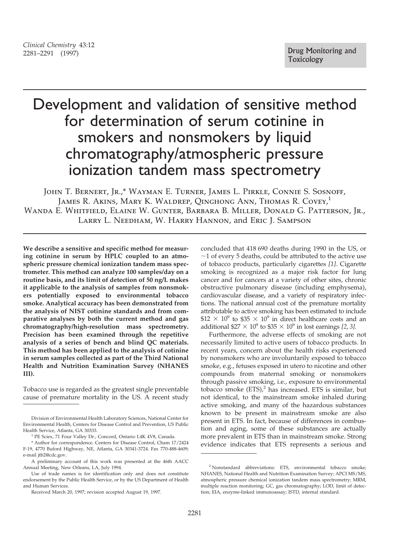## *Clinical Chemistry* 43:12

# Development and validation of sensitive method for determination of serum cotinine in smokers and nonsmokers by liquid chromatography/atmospheric pressure ionization tandem mass spectrometry

John T. Bernert, Jr.,\* Wayman E. Turner, James L. Pirkle, Connie S. Sosnoff, JAMES R. AKINS, MARY K. WALDREP, QINGHONG ANN, THOMAS R. COVEY,<sup>1</sup> Wanda E. Whitfield, Elaine W. Gunter, Barbara B. Miller, Donald G. Patterson, Jr., Larry L. Needham, W. Harry Hannon, and Eric J. Sampson

**We describe a sensitive and specific method for measuring cotinine in serum by HPLC coupled to an atmospheric pressure chemical ionization tandem mass spectrometer. This method can analyze 100 samples/day on a routine basis, and its limit of detection of 50 ng/L makes it applicable to the analysis of samples from nonsmokers potentially exposed to environmental tobacco smoke. Analytical accuracy has been demonstrated from the analysis of NIST cotinine standards and from comparative analyses by both the current method and gas chromatography/high-resolution mass spectrometry. Precision has been examined through the repetitive analysis of a series of bench and blind QC materials. This method has been applied to the analysis of cotinine in serum samples collected as part of the Third National Health and Nutrition Examination Survey (NHANES III).** 

Tobacco use is regarded as the greatest single preventable cause of premature mortality in the US. A recent study concluded that 418 690 deaths during 1990 in the US, or  $\sim$ 1 of every 5 deaths, could be attributed to the active use of tobacco products, particularly cigarettes *[1]*. Cigarette smoking is recognized as a major risk factor for lung cancer and for cancers at a variety of other sites, chronic obstructive pulmonary disease (including emphysema), cardiovascular disease, and a variety of respiratory infections. The national annual cost of the premature mortality attributable to active smoking has been estimated to include  $$12 \times 10^9$  to \$35  $\times 10^9$  in direct healthcare costs and an additional  $$27 \times 10^9$  to  $$35 \times 10^9$  in lost earnings [2, 3].

Furthermore, the adverse effects of smoking are not necessarily limited to active users of tobacco products. In recent years, concern about the health risks experienced by nonsmokers who are involuntarily exposed to tobacco smoke, e.g., fetuses exposed in utero to nicotine and other compounds from maternal smoking or nonsmokers through passive smoking, i.e., exposure to environmental tobacco smoke  $(ETS)<sup>2</sup>$  has increased. ETS is similar, but not identical, to the mainstream smoke inhaled during active smoking, and many of the hazardous substances known to be present in mainstream smoke are also present in ETS. In fact, because of differences in combustion and aging, some of these substances are actually more prevalent in ETS than in mainstream smoke. Strong evidence indicates that ETS represents a serious and

Division of Environmental Health Laboratory Sciences, National Center for Environmental Health, Centers for Disease Control and Prevention, US Public

<sup>&</sup>lt;sup>1</sup> PE Sciex, 71 Four Valley Dr., Concord, Ontario L4K 4V8, Canada.

<sup>\*</sup> Author for correspondence. Centers for Disease Control, Cham 17/2424 F-19, 4770 Buford Highway, NE, Atlanta, GA 30341-3724. Fax 770-488-4609; e-mail jtb2@cdc.gov.

A preliminary account of this work was presented at the 46th AACC Annual Meeting, New Orleans, LA, July 1994.

Use of trade names is for identification only and does not constitute endorsement by the Public Health Service, or by the US Department of Health and Human Services.

Received March 20, 1997; revision accepted August 19, 1997.

<sup>2</sup> Nonstandard abbreviations: ETS, environmental tobacco smoke; NHANES, National Health and Nutrition Examination Survey; APCI MS/MS, atmospheric pressure chemical ionization tandem mass spectrometry; MRM, multiple reaction monitoring; GC, gas chromatography; LOD, limit of detection; EIA, enzyme-linked immunoassay; ISTD, internal standard.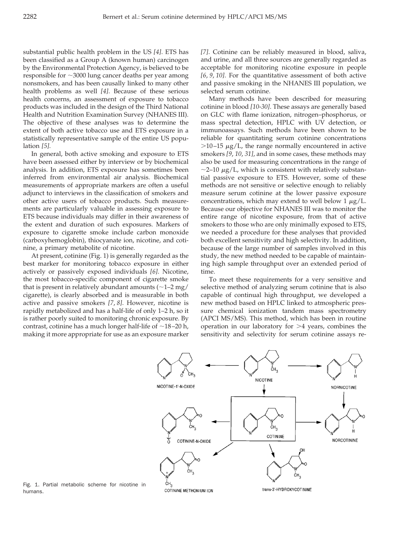substantial public health problem in the US *[4]*. ETS has been classified as a Group A (known human) carcinogen by the Environmental Protection Agency, is believed to be responsible for  $\sim$ 3000 lung cancer deaths per year among nonsmokers, and has been causally linked to many other health problems as well *[4]*. Because of these serious health concerns, an assessment of exposure to tobacco products was included in the design of the Third National Health and Nutrition Examination Survey (NHANES III). The objective of these analyses was to determine the extent of both active tobacco use and ETS exposure in a statistically representative sample of the entire US population *[5]*.

In general, both active smoking and exposure to ETS have been assessed either by interview or by biochemical analysis. In addition, ETS exposure has sometimes been inferred from environmental air analysis. Biochemical measurements of appropriate markers are often a useful adjunct to interviews in the classification of smokers and other active users of tobacco products. Such measurements are particularly valuable in assessing exposure to ETS because individuals may differ in their awareness of the extent and duration of such exposures. Markers of exposure to cigarette smoke include carbon monoxide (carboxyhemoglobin), thiocyanate ion, nicotine, and cotinine, a primary metabolite of nicotine.

At present, cotinine (Fig. 1) is generally regarded as the best marker for monitoring tobacco exposure in either actively or passively exposed individuals *[6]*. Nicotine, the most tobacco-specific component of cigarette smoke that is present in relatively abundant amounts  $(\sim 1-2 \text{ mg})$ cigarette), is clearly absorbed and is measurable in both active and passive smokers *[7*, *8]*. However, nicotine is rapidly metabolized and has a half-life of only 1–2 h, so it is rather poorly suited to monitoring chronic exposure. By contrast, cotinine has a much longer half-life of  $\sim$ 18-20 h, making it more appropriate for use as an exposure marker *[7]*. Cotinine can be reliably measured in blood, saliva, and urine, and all three sources are generally regarded as acceptable for monitoring nicotine exposure in people *[6*, *9*, *10]*. For the quantitative assessment of both active and passive smoking in the NHANES III population, we selected serum cotinine.

Many methods have been described for measuring cotinine in blood *[10*-*30]*. These assays are generally based on GLC with flame ionization, nitrogen–phosphorus, or mass spectral detection, HPLC with UV detection, or immunoassays. Such methods have been shown to be reliable for quantitating serum cotinine concentrations  $>$ 10-15  $\mu$ g/L, the range normally encountered in active smokers *[9*, *10*, *31]*, and in some cases, these methods may also be used for measuring concentrations in the range of  $\sim$ 2–10  $\mu$ g/L, which is consistent with relatively substantial passive exposure to ETS. However, some of these methods are not sensitive or selective enough to reliably measure serum cotinine at the lower passive exposure concentrations, which may extend to well below 1  $\mu$ g/L. Because our objective for NHANES III was to monitor the entire range of nicotine exposure, from that of active smokers to those who are only minimally exposed to ETS, we needed a procedure for these analyses that provided both excellent sensitivity and high selectivity. In addition, because of the large number of samples involved in this study, the new method needed to be capable of maintaining high sample throughput over an extended period of time.

To meet these requirements for a very sensitive and selective method of analyzing serum cotinine that is also capable of continual high throughput, we developed a new method based on HPLC linked to atmospheric pressure chemical ionization tandem mass spectrometry (APCI MS/MS). This method, which has been in routine operation in our laboratory for  $>4$  years, combines the sensitivity and selectivity for serum cotinine assays re-



Fig. 1. Partial metabolic scheme for nicotine in humans.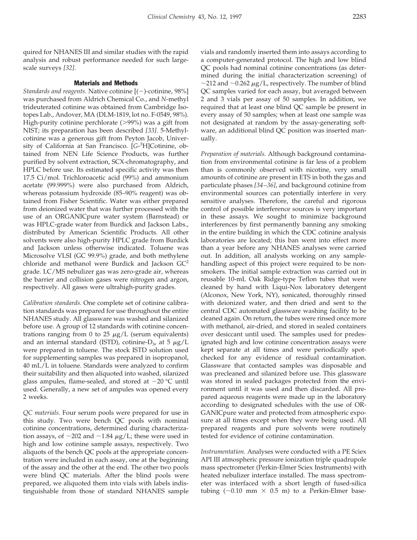quired for NHANES III and similar studies with the rapid analysis and robust performance needed for such largescale surveys *[32]*.

### Materials and Methods

*Standards and reagents.* Native cotinine  $[(-)$ -cotinine, 98%] was purchased from Aldrich Chemical Co., and *N*-methyl trideuterated cotinine was obtained from Cambridge Isotopes Lab., Andover, MA (DLM-1819, lot no. F-0549, 98%). High-purity cotinine perchlorate (>99%) was a gift from NIST; its preparation has been described *[33]*. 5-Methylcotinine was a generous gift from Peyton Jacob, University of California at San Francisco. [*G*-3 H]Cotinine, obtained from NEN Life Science Products, was further purified by solvent extraction, SCX-chromatography, and HPLC before use. Its estimated specific activity was then 17.5 Ci/mol. Trichloroacetic acid (99%) and ammonium acetate (99.999%) were also purchased from Aldrich, whereas potassium hydroxide (85–90% reagent) was obtained from Fisher Scientific. Water was either prepared from deionized water that was further processed with the use of an ORGANICpure water system (Barnstead) or was HPLC-grade water from Burdick and Jackson Labs., distributed by American Scientific Products. All other solvents were also high-purity HPLC grade from Burdick and Jackson unless otherwise indicated. Toluene was Microsolve VLSI (GC 99.9%) grade, and both methylene chloride and methanol were Burdick and Jackson  $GC^2$ grade. LC/MS nebulizer gas was zero-grade air, whereas the barrier and collision gases were nitrogen and argon, respectively. All gases were ultrahigh-purity grades.

*Calibration standards.* One complete set of cotinine calibration standards was prepared for use throughout the entire NHANES study. All glassware was washed and silanized before use. A group of 12 standards with cotinine concentrations ranging from 0 to 25  $\mu$ g/L (serum equivalents) and an internal standard (ISTD), cotinine- $D_3$ , at 5  $\mu$ g/L were prepared in toluene. The stock ISTD solution used for supplementing samples was prepared in isopropanol, 40 mL/L in toluene. Standards were analyzed to confirm their suitability and then aliquoted into washed, silanized glass ampules, flame-sealed, and stored at  $-20$  °C until used. Generally, a new set of ampules was opened every 2 weeks.

*QC materials.* Four serum pools were prepared for use in this study. Two were bench QC pools with nominal cotinine concentrations, determined during characterization assays, of  $\sim$ 202 and  $\sim$ 1.84  $\mu$ g/L; these were used in high and low cotinine sample assays, respectively. Two aliquots of the bench QC pools at the appropriate concentration were included in each assay, one at the beginning of the assay and the other at the end. The other two pools were blind QC materials. After the blind pools were prepared, we aliquoted them into vials with labels indistinguishable from those of standard NHANES sample

vials and randomly inserted them into assays according to a computer-generated protocol. The high and low blind QC pools had nominal cotinine concentrations (as determined during the initial characterization screening) of  $\sim$ 212 and  $\sim$ 0.262  $\mu$ g/L, respectively. The number of blind QC samples varied for each assay, but averaged between 2 and 3 vials per assay of 50 samples. In addition, we required that at least one blind QC sample be present in every assay of 50 samples; when at least one sample was not designated at random by the assay-generating software, an additional blind QC position was inserted manually.

*Preparation of materials.* Although background contamination from environmental cotinine is far less of a problem than is commonly observed with nicotine, very small amounts of cotinine are present in ETS in both the gas and particulate phases *[34 –36]*, and background cotinine from environmental sources can potentially interfere in very sensitive analyses. Therefore, the careful and rigorous control of possible interference sources is very important in these assays. We sought to minimize background interferences by first permanently banning any smoking in the entire building in which the CDC cotinine analysis laboratories are located; this ban went into effect more than a year before any NHANES analyses were carried out. In addition, all analysts working on any samplehandling aspect of this project were required to be nonsmokers. The initial sample extraction was carried out in reusable 10-mL Oak Ridge-type Teflon tubes that were cleaned by hand with Liqui-Nox laboratory detergent (Alconox, New York, NY), sonicated, thoroughly rinsed with deionized water, and then dried and sent to the central CDC automated glassware washing facility to be cleaned again. On return, the tubes were rinsed once more with methanol, air-dried, and stored in sealed containers over desiccant until used. The samples used for predesignated high and low cotinine concentration assays were kept separate at all times and were periodically spotchecked for any evidence of residual contamination. Glassware that contacted samples was disposable and was precleaned and silanized before use. This glassware was stored in sealed packages protected from the environment until it was used and then discarded. All prepared aqueous reagents were made up in the laboratory according to designated schedules with the use of OR-GANICpure water and protected from atmospheric exposure at all times except when they were being used. All prepared reagents and pure solvents were routinely tested for evidence of cotinine contamination.

*Instrumentation.* Analyses were conducted with a PE Sciex API III atmospheric pressure ionization triple quadrupole mass spectrometer (Perkin-Elmer Sciex Instruments) with heated nebulizer interface installed. The mass spectrometer was interfaced with a short length of fused-silica tubing ( $\sim$ 0.10 mm  $\times$  0.5 m) to a Perkin-Elmer base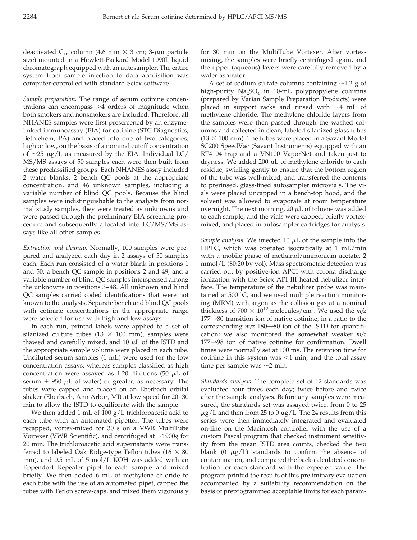deactivated C<sub>18</sub> column (4.6 mm  $\times$  3 cm; 3- $\mu$ m particle size) mounted in a Hewlett-Packard Model 1090L liquid chromatograph equipped with an autosampler. The entire system from sample injection to data acquisition was computer-controlled with standard Sciex software.

*Sample preparation.* The range of serum cotinine concentrations can encompass  $>4$  orders of magnitude when both smokers and nonsmokers are included. Therefore, all NHANES samples were first prescreened by an enzymelinked immunoassay (EIA) for cotinine (STC Diagnostics, Bethlehem, PA) and placed into one of two categories, high or low, on the basis of a nominal cutoff concentration of  $\sim$ 25  $\mu$ g/L as measured by the EIA. Individual LC/ MS/MS assays of 50 samples each were then built from these preclassified groups. Each NHANES assay included 2 water blanks, 2 bench QC pools at the appropriate concentration, and 46 unknown samples, including a variable number of blind QC pools. Because the blind samples were indistinguishable to the analysts from normal study samples, they were treated as unknowns and were passed through the preliminary EIA screening procedure and subsequently allocated into LC/MS/MS assays like all other samples.

*Extraction and cleanup.* Normally, 100 samples were prepared and analyzed each day in 2 assays of 50 samples each. Each run consisted of a water blank in positions 1 and 50, a bench QC sample in positions 2 and 49, and a variable number of blind QC samples interspersed among the unknowns in positions 3– 48. All unknown and blind QC samples carried coded identifications that were not known to the analysts. Separate bench and blind QC pools with cotinine concentrations in the appropriate range were selected for use with high and low assays.

In each run, printed labels were applied to a set of silanized culture tubes (13  $\times$  100 mm), samples were thawed and carefully mixed, and 10  $\mu$ L of the ISTD and the appropriate sample volume were placed in each tube. Undiluted serum samples (1 mL) were used for the low concentration assays, whereas samples classified as high concentration were assayed as 1:20 dilutions (50  $\mu$ L of serum  $+$  950  $\mu$ L of water) or greater, as necessary. The tubes were capped and placed on an Eberbach orbital shaker (Eberbach, Ann Arbor, MI) at low speed for 20 –30 min to allow the ISTD to equilibrate with the sample.

We then added 1 mL of 100 g/L trichloroacetic acid to each tube with an automated pipetter. The tubes were recapped, vortex-mixed for 30 s on a VWR MultiTube Vortexer (VWR Scientific), and centrifuged at �1900*g* for 20 min. The trichloroacetic acid supernatants were transferred to labeled Oak Ridge-type Teflon tubes (16  $\times$  80 mm), and 0.5 mL of 5 mol/L KOH was added with an Eppendorf Repeater pipet to each sample and mixed briefly. We then added 6 mL of methylene chloride to each tube with the use of an automated pipet, capped the tubes with Teflon screw-caps, and mixed them vigorously for 30 min on the MultiTube Vortexer. After vortexmixing, the samples were briefly centrifuged again, and the upper (aqueous) layers were carefully removed by a water aspirator.

A set of sodium sulfate columns containing  $\sim$ 1.2 g of high-purity  $Na<sub>2</sub>SO<sub>4</sub>$  in 10-mL polypropylene columns (prepared by Varian Sample Preparation Products) were placed in support racks and rinsed with  $\sim$ 4 mL of methylene chloride. The methylene chloride layers from the samples were then passed through the washed columns and collected in clean, labeled silanized glass tubes  $(13 \times 100 \text{ mm})$ . The tubes were placed in a Savant Model SC200 SpeedVac (Savant Instruments) equipped with an RT4104 trap and a VN100 VaporNet and taken just to dryness. We added 200  $\mu$ L of methylene chloride to each residue, swirling gently to ensure that the bottom region of the tube was well-mixed, and transferred the contents to prerinsed, glass-lined autosampler microvials. The vials were placed uncapped in a bench-top hood, and the solvent was allowed to evaporate at room temperature overnight. The next morning, 20  $\mu$ L of toluene was added to each sample, and the vials were capped, briefly vortexmixed, and placed in autosampler cartridges for analysis.

*Sample analysis.* We injected 10  $\mu$ L of the sample into the HPLC, which was operated isocratically at 1 mL/min with a mobile phase of methanol/ammonium acetate, 2 mmol/L (80:20 by vol). Mass spectrometric detection was carried out by positive-ion APCI with corona discharge ionization with the Sciex API III heated nebulizer interface. The temperature of the nebulizer probe was maintained at 500  $\degree$ C, and we used multiple reaction monitoring (MRM) with argon as the collision gas at a nominal thickness of  $700 \times 10^{12}$  molecules/cm<sup>2</sup>. We used the  $m/z$  $177\rightarrow 80$  transition ion of native cotinine, in a ratio to the corresponding  $m/z$  180 $\rightarrow$ 80 ion of the ISTD for quantification; we also monitored the somewhat weaker *m/z*   $177\rightarrow98$  ion of native cotinine for confirmation. Dwell times were normally set at 100 ms. The retention time for cotinine in this system was  $\leq 1$  min, and the total assay time per sample was  $\sim$ 2 min.

*Standards analysis.* The complete set of 12 standards was evaluated four times each day; twice before and twice after the sample analyses. Before any samples were measured, the standards set was assayed twice, from 0 to 25  $\mu$ g/L and then from 25 to 0  $\mu$ g/L. The 24 results from this series were then immediately integrated and evaluated on-line on the Macintosh controller with the use of a custom Pascal program that checked instrument sensitivity from the mean ISTD area counts, checked the two blank (0  $\mu$ g/L) standards to confirm the absence of contamination, and compared the back-calculated concentration for each standard with the expected value. The program printed the results of this preliminary evaluation accompanied by a suitability recommendation on the basis of preprogrammed acceptable limits for each param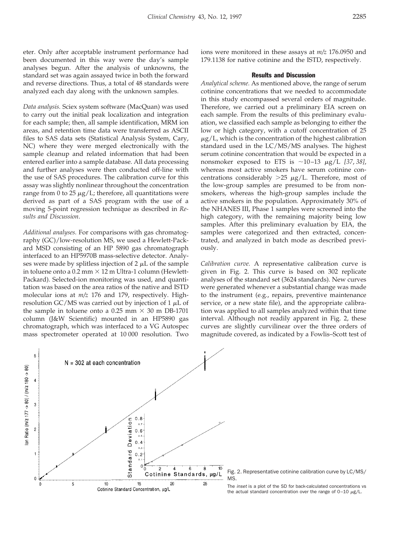eter. Only after acceptable instrument performance had been documented in this way were the day's sample analyses begun. After the analysis of unknowns, the standard set was again assayed twice in both the forward and reverse directions. Thus, a total of 48 standards were analyzed each day along with the unknown samples.

*Data analysis.* Sciex system software (MacQuan) was used to carry out the initial peak localization and integration for each sample; then, all sample identification, MRM ion areas, and retention time data were transferred as ASCII files to SAS data sets (Statistical Analysis System, Cary, NC) where they were merged electronically with the sample cleanup and related information that had been entered earlier into a sample database. All data processing and further analyses were then conducted off-line with the use of SAS procedures. The calibration curve for this assay was slightly nonlinear throughout the concentration range from 0 to 25  $\mu$ g/L; therefore, all quantitations were derived as part of a SAS program with the use of a moving 5-point regression technique as described in *Results and Discussion*.

*Additional analyses.* For comparisons with gas chromatography (GC)/low-resolution MS, we used a Hewlett-Packard MSD consisting of an HP 5890 gas chromatograph interfaced to an HP5970B mass-selective detector. Analyses were made by splitless injection of  $2 \mu L$  of the sample in toluene onto a 0.2 mm  $\times$  12 m Ultra-1 column (Hewlett-Packard). Selected-ion monitoring was used, and quantitation was based on the area ratios of the native and ISTD molecular ions at *m/z* 176 and 179, respectively. Highresolution GC/MS was carried out by injection of 1  $\mu$ L of the sample in toluene onto a 0.25 mm  $\times$  30 m DB-1701 column (J&W Scientific) mounted in an HP5890 gas chromatograph, which was interfaced to a VG Autospec mass spectrometer operated at 10 000 resolution. Two

ions were monitored in these assays at *m/z* 176.0950 and 179.1138 for native cotinine and the ISTD, respectively.

### Results and Discussion

*Analytical scheme.* As mentioned above, the range of serum cotinine concentrations that we needed to accommodate in this study encompassed several orders of magnitude. Therefore, we carried out a preliminary EIA screen on each sample. From the results of this preliminary evaluation, we classified each sample as belonging to either the low or high category, with a cutoff concentration of 25  $\mu$ g/L, which is the concentration of the highest calibration standard used in the LC/MS/MS analyses. The highest serum cotinine concentration that would be expected in a nonsmoker exposed to ETS is  $\sim$ 10–13  $\mu$ g/L *[37, 38]*, whereas most active smokers have serum cotinine concentrations considerably  $>25 \mu g/L$ . Therefore, most of the low-group samples are presumed to be from nonsmokers, whereas the high-group samples include the active smokers in the population. Approximately 30% of the NHANES III, Phase 1 samples were screened into the high category, with the remaining majority being low samples. After this preliminary evaluation by EIA, the samples were categorized and then extracted, concentrated, and analyzed in batch mode as described previously.

*Calibration curve.* A representative calibration curve is given in Fig. 2. This curve is based on 302 replicate analyses of the standard set (3624 standards). New curves were generated whenever a substantial change was made to the instrument (e.g., repairs, preventive maintenance service, or a new state file), and the appropriate calibration was applied to all samples analyzed within that time interval. Although not readily apparent in Fig. 2, these curves are slightly curvilinear over the three orders of magnitude covered, as indicated by a Fowlis–Scott test of



Fig. 2. Representative cotinine calibration curve by LC/MS/ MS.

The inset is a plot of the SD for back-calculated concentrations vs the actual standard concentration over the range of  $0-10 \mu g/L$ .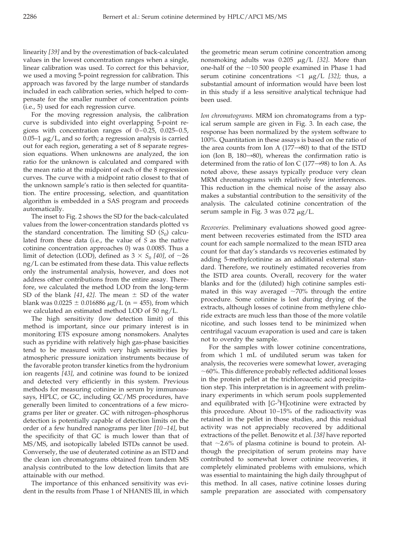linearity *[39]* and by the overestimation of back-calculated values in the lowest concentration ranges when a single, linear calibration was used. To correct for this behavior, we used a moving 5-point regression for calibration. This approach was favored by the large number of standards included in each calibration series, which helped to compensate for the smaller number of concentration points (i.e., 5) used for each regression curve.

For the moving regression analysis, the calibration curve is subdivided into eight overlapping 5-point regions with concentration ranges of  $0-0.25$ ,  $0.025-0.5$ ,  $0.05-1 \mu g/L$ , and so forth; a regression analysis is carried out for each region, generating a set of 8 separate regression equations. When unknowns are analyzed, the ion ratio for the unknown is calculated and compared with the mean ratio at the midpoint of each of the 8 regression curves. The curve with a midpoint ratio closest to that of the unknown sample's ratio is then selected for quantitation. The entire processing, selection, and quantitation algorithm is embedded in a SAS program and proceeds automatically.

The inset to Fig. 2 shows the SD for the back-calculated values from the lower-concentration standards plotted vs the standard concentration. The limiting SD  $(S_0)$  calculated from these data (i.e., the value of *S* as the native cotinine concentration approaches 0) was 0.0085. Thus a limit of detection (LOD), defined as  $3 \times S_0$  [40], of  $\sim$ 26 ng/L can be estimated from these data. This value reflects only the instrumental analysis, however, and does not address other contributions from the entire assay. Therefore, we calculated the method LOD from the long-term SD of the blank  $[41, 42]$ . The mean  $\pm$  SD of the water blank was  $0.0225 \pm 0.016886 \mu g/L$  (n = 455), from which we calculated an estimated method LOD of 50 ng/L.

The high sensitivity (low detection limit) of this method is important, since our primary interest is in monitoring ETS exposure among nonsmokers. Analytes such as pyridine with relatively high gas-phase basicities tend to be measured with very high sensitivities by atmospheric pressure ionization instruments because of the favorable proton transfer kinetics from the hydronium ion reagents *[43]*, and cotinine was found to be ionized and detected very efficiently in this system. Previous methods for measuring cotinine in serum by immunoassays, HPLC, or GC, including GC/MS procedures, have generally been limited to concentrations of a few micrograms per liter or greater. GC with nitrogen–phosphorus detection is potentially capable of detection limits on the order of a few hundred nanograms per liter *[10 –14]*, but the specificity of that GC is much lower than that of MS/MS, and isotopically labeled ISTDs cannot be used. Conversely, the use of deuterated cotinine as an ISTD and the clean ion chromatograms obtained from tandem MS analysis contributed to the low detection limits that are attainable with our method.

The importance of this enhanced sensitivity was evident in the results from Phase 1 of NHANES III, in which

the geometric mean serum cotinine concentration among nonsmoking adults was 0.205 �g/L *[32]*. More than one-half of the  $\sim$ 10 500 people examined in Phase 1 had serum cotinine concentrations  $\langle 1 \mu g/L$  *[32]*; thus, a substantial amount of information would have been lost in this study if a less sensitive analytical technique had been used.

*Ion chromatograms.* MRM ion chromatograms from a typical serum sample are given in Fig. 3. In each case, the response has been normalized by the system software to 100%. Quantitation in these assays is based on the ratio of the area counts from Ion A  $(177\rightarrow 80)$  to that of the ISTD ion (Ion B,  $180\rightarrow80$ ), whereas the confirmation ratio is determined from the ratio of Ion C  $(177\rightarrow98)$  to Ion A. As noted above, these assays typically produce very clean MRM chromatograms with relatively few interferences. This reduction in the chemical noise of the assay also makes a substantial contribution to the sensitivity of the analysis. The calculated cotinine concentration of the serum sample in Fig. 3 was 0.72  $\mu$ g/L.

*Recoveries.* Preliminary evaluations showed good agreement between recoveries estimated from the ISTD area count for each sample normalized to the mean ISTD area count for that day's standards vs recoveries estimated by adding 5-methylcotinine as an additional external standard. Therefore, we routinely estimated recoveries from the ISTD area counts. Overall, recovery for the water blanks and for the (diluted) high cotinine samples estimated in this way averaged  $\sim$ 70% through the entire procedure. Some cotinine is lost during drying of the extracts, although losses of cotinine from methylene chloride extracts are much less than those of the more volatile nicotine, and such losses tend to be minimized when centrifugal vacuum evaporation is used and care is taken not to overdry the sample.

For the samples with lower cotinine concentrations, from which 1 mL of undiluted serum was taken for analysis, the recoveries were somewhat lower, averaging  $\sim$  60%. This difference probably reflected additional losses in the protein pellet at the trichloroacetic acid precipitation step. This interpretation is in agreement with preliminary experiments in which serum pools supplemented and equilibrated with [*G*-3 H]cotinine were extracted by this procedure. About 10–15% of the radioactivity was retained in the pellet in those studies, and this residual activity was not appreciably recovered by additional extractions of the pellet. Benowitz et al. *[38]* have reported that  $\sim$ 2.6% of plasma cotinine is bound to protein. Although the precipitation of serum proteins may have contributed to somewhat lower cotinine recoveries, it completely eliminated problems with emulsions, which was essential to maintaining the high daily throughput of this method. In all cases, native cotinine losses during sample preparation are associated with compensatory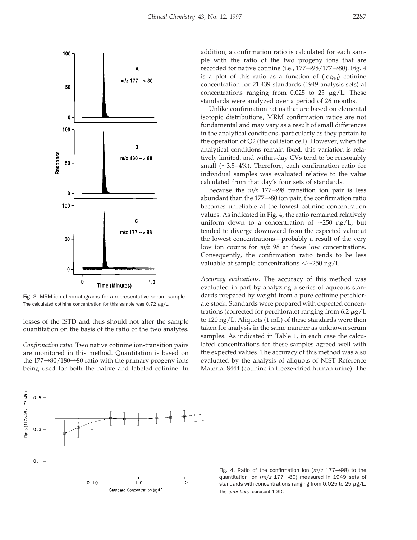

Fig. 3. MRM ion chromatograms for a representative serum sample. The calculated cotinine concentration for this sample was  $0.72 \mu g/L$ .

losses of the ISTD and thus should not alter the sample quantitation on the basis of the ratio of the two analytes.

*Confirmation ratio.* Two native cotinine ion-transition pairs are monitored in this method. Quantitation is based on the  $177\rightarrow 80/180\rightarrow 80$  ratio with the primary progeny ions being used for both the native and labeled cotinine. In



addition, a confirmation ratio is calculated for each sample with the ratio of the two progeny ions that are recorded for native cotinine (i.e.,  $177\rightarrow98/177\rightarrow80$ ). Fig. 4 is a plot of this ratio as a function of  $(log_{10})$  cotinine concentration for 21 439 standards (1949 analysis sets) at concentrations ranging from 0.025 to 25  $\mu$ g/L. These standards were analyzed over a period of 26 months.

Unlike confirmation ratios that are based on elemental isotopic distributions, MRM confirmation ratios are not fundamental and may vary as a result of small differences in the analytical conditions, particularly as they pertain to the operation of Q2 (the collision cell). However, when the analytical conditions remain fixed, this variation is relatively limited, and within-day CVs tend to be reasonably small ( $\sim$ 3.5–4%). Therefore, each confirmation ratio for individual samples was evaluated relative to the value calculated from that day's four sets of standards.

Because the  $m/z$  177 $\rightarrow$ 98 transition ion pair is less abundant than the  $177\rightarrow 80$  ion pair, the confirmation ratio becomes unreliable at the lowest cotinine concentration values. As indicated in Fig. 4, the ratio remained relatively uniform down to a concentration of  $\sim$ 250 ng/L, but tended to diverge downward from the expected value at the lowest concentrations—probably a result of the very low ion counts for *m/z* 98 at these low concentrations. Consequently, the confirmation ratio tends to be less valuable at sample concentrations  $\langle \sim 250 \text{ ng/L.} \rangle$ 

*Accuracy evaluations.* The accuracy of this method was evaluated in part by analyzing a series of aqueous standards prepared by weight from a pure cotinine perchlorate stock. Standards were prepared with expected concentrations (corrected for perchlorate) ranging from  $6.2 \mu g/L$ to 120 ng/L. Aliquots (1 mL) of these standards were then taken for analysis in the same manner as unknown serum samples. As indicated in Table 1, in each case the calculated concentrations for these samples agreed well with the expected values. The accuracy of this method was also evaluated by the analysis of aliquots of NIST Reference Material 8444 (cotinine in freeze-dried human urine). The

Fig. 4. Ratio of the confirmation ion  $(m/z 177\rightarrow98)$  to the quantitation ion ( $m/z$  177 $\rightarrow$ 80) measured in 1949 sets of standards with concentrations ranging from 0.025 to 25  $\mu$ g/L. The error bars represent 1 SD.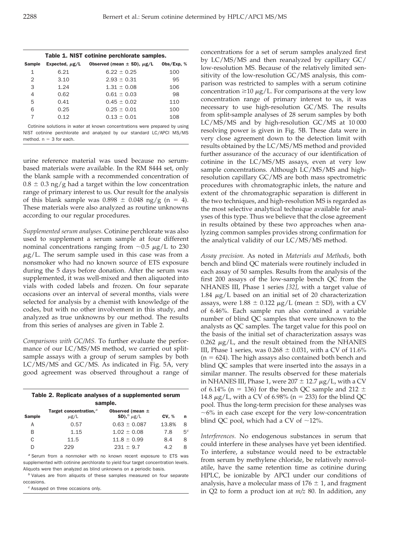| Table 1. NIST cotinine perchlorate samples.                                                                                                        |                     |                                     |              |  |  |
|----------------------------------------------------------------------------------------------------------------------------------------------------|---------------------|-------------------------------------|--------------|--|--|
| <b>Sample</b>                                                                                                                                      | Expected, $\mu$ g/L | Observed (mean $\pm$ SD), $\mu$ g/L | Obs/Exp. $%$ |  |  |
| 1                                                                                                                                                  | 6.21                | $6.22 \pm 0.25$                     | 100          |  |  |
| 2                                                                                                                                                  | 3.10                | $2.93 \pm 0.31$                     | 95           |  |  |
| 3                                                                                                                                                  | 1.24                | $1.31 \pm 0.08$                     | 106          |  |  |
| 4                                                                                                                                                  | 0.62                | $0.61 \pm 0.03$                     | 98           |  |  |
| 5                                                                                                                                                  | 0.41                | $0.45 \pm 0.02$                     | 110          |  |  |
| 6                                                                                                                                                  | 0.25                | $0.25 \pm 0.01$                     | 100          |  |  |
| $\overline{7}$                                                                                                                                     | 0.12                | $0.13 \pm 0.01$                     | 108          |  |  |
| Cotinine solutions in water at known concentrations were prepared by using<br>NIST cotinine perchlorate and analyzed by our standard LC/APCI MS/MS |                     |                                     |              |  |  |

method.  $n = 3$  for each.

urine reference material was used because no serumbased materials were available. In the RM 8444 set, only the blank sample with a recommended concentration of  $0.8 \pm 0.3$  ng/g had a target within the low concentration range of primary interest to us. Our result for the analysis of this blank sample was  $0.898 \pm 0.048$  ng/g (n = 4). These materials were also analyzed as routine unknowns according to our regular procedures.

*Supplemented serum analyses.* Cotinine perchlorate was also used to supplement a serum sample at four different nominal concentrations ranging from  $\sim 0.5 \mu g/L$  to 230  $\mu$ g/L. The serum sample used in this case was from a nonsmoker who had no known source of ETS exposure during the 5 days before donation. After the serum was supplemented, it was well-mixed and then aliquoted into vials with coded labels and frozen. On four separate occasions over an interval of several months, vials were selected for analysis by a chemist with knowledge of the codes, but with no other involvement in this study, and analyzed as true unknowns by our method. The results from this series of analyses are given in Table 2.

*Comparisons with GC/MS.* To further evaluate the performance of our LC/MS/MS method, we carried out splitsample assays with a group of serum samples by both LC/MS/MS and GC/MS. As indicated in Fig. 5A, very good agreement was observed throughout a range of

| Table 2. Replicate analyses of a supplemented serum |                                                 |                                            |              |                |  |  |
|-----------------------------------------------------|-------------------------------------------------|--------------------------------------------|--------------|----------------|--|--|
| sample.                                             |                                                 |                                            |              |                |  |  |
| <b>Sample</b>                                       | Target concentration. <sup>3</sup><br>$\mu$ g/L | Observed (mean $\pm$<br>SD), $b$ $\mu$ g/L | <b>CV, %</b> | n              |  |  |
| Α                                                   | 0.57                                            | $0.63 + 0.087$                             | 13.8%        | 8              |  |  |
| В                                                   | 1.15                                            | $1.02 + 0.08$                              | 7.8          | 5 <sup>c</sup> |  |  |
| C                                                   | 11.5                                            | $11.8 \pm 0.99$                            | 8.4          | 8              |  |  |
| D                                                   | 229                                             | $231 + 9.7$                                | 4.2          | 8              |  |  |

a Serum from a nonmoker with no known recent exposure to ETS was supplemented with cotinine perchlorate to yield four target concentration levels. Aliquots were then analyzed as blind unknowns on a periodic basis.

 $<sup>b</sup>$  Values are from aliquots of these samples measured on four separate</sup> occasions.

<sup>c</sup> Assayed on three occasions only.

concentrations for a set of serum samples analyzed first by LC/MS/MS and then reanalyzed by capillary GC/ low-resolution MS. Because of the relatively limited sensitivity of the low-resolution GC/MS analysis, this comparison was restricted to samples with a serum cotinine concentration  $\geq 10 \mu g/L$ . For comparisons at the very low concentration range of primary interest to us, it was necessary to use high-resolution GC/MS. The results from split-sample analyses of 28 serum samples by both LC/MS/MS and by high-resolution GC/MS at 10 000 resolving power is given in Fig. 5B. These data were in very close agreement down to the detection limit with results obtained by the LC/MS/MS method and provided further assurance of the accuracy of our identification of cotinine in the LC/MS/MS assays, even at very low sample concentrations. Although LC/MS/MS and highresolution capillary GC/MS are both mass spectrometric procedures with chromatographic inlets, the nature and extent of the chromatographic separation is different in the two techniques, and high-resolution MS is regarded as the most selective analytical technique available for analyses of this type. Thus we believe that the close agreement in results obtained by these two approaches when analyzing common samples provides strong confirmation for the analytical validity of our LC/MS/MS method.

*Assay precision.* As noted in *Materials and Methods*, both bench and blind QC materials were routinely included in each assay of 50 samples. Results from the analysis of the first 200 assays of the low-sample bench QC from the NHANES III, Phase 1 series *[32]*, with a target value of 1.84  $\mu$ g/L based on an initial set of 20 characterization assays, were  $1.88 \pm 0.122 \ \mu g/L$  (mean  $\pm$  SD), with a CV of 6.46%. Each sample run also contained a variable number of blind QC samples that were unknown to the analysts as QC samples. The target value for this pool on the basis of the initial set of characterization assays was  $0.262 \mu g/L$ , and the result obtained from the NHANES III, Phase 1 series, was  $0.268 \pm 0.031$ , with a CV of 11.6%  $(n = 624)$ . The high assays also contained both bench and blind QC samples that were inserted into the assays in a similar manner. The results observed for these materials in NHANES III, Phase 1, were  $207 \pm 12.7 \,\mu g/L$ , with a CV of 6.14% (n = 136) for the bench QC sample and 212  $\pm$ 14.8  $\mu$ g/L, with a CV of 6.98% (n = 233) for the blind QC pool. Thus the long-term precision for these analyses was  $~\sim$ 6% in each case except for the very low-concentration blind QC pool, which had a CV of  $\sim$ 12%.

*Interferences.* No endogenous substances in serum that could interfere in these analyses have yet been identified. To interfere, a substance would need to be extractable from serum by methylene chloride, be relatively nonvolatile, have the same retention time as cotinine during HPLC, be ionizable by APCI under our conditions of analysis, have a molecular mass of  $176 \pm 1$ , and fragment in Q2 to form a product ion at *m/z* 80. In addition, any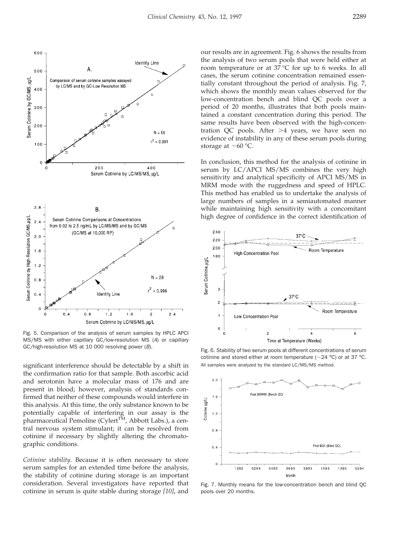

Fig. 5. Comparison of the analysis of serum samples by HPLC APCI MS/MS with either capillary GC/low-resolution MS (A) or capillary GC/high-resolution MS at 10 000 resolving power (B).<br>Fig. 6. Stability of two serum pools at different concentrations of serum

significant interference should be detectable by a shift in All samples were analyzed by the standard LC/MS/MS method. the confirmation ratio for that sample. Both ascorbic acid and serotonin have a molecular mass of 176 and are present in blood; however, analysis of standards confirmed that neither of these compounds would interfere in this analysis. At this time, the only substance known to be potentially capable of interfering in our assay is the pharmaceutical Pemoline (Cylert<sup>TM</sup>, Abbott Labs.), a central nervous system stimulant; it can be resolved from cotinine if necessary by slightly altering the chromatographic conditions.

*Cotinine stability.* Because it is often necessary to store serum samples for an extended time before the analysis, the stability of cotinine during storage is an important consideration. Several investigators have reported that cotinine in serum is quite stable during storage *[10]*, and

our results are in agreement. Fig. 6 shows the results from the analysis of two serum pools that were held either at room temperature or at 37 °C for up to 6 weeks. In all cases, the serum cotinine concentration remained essentially constant throughout the period of analysis. Fig. 7, which shows the monthly mean values observed for the low-concentration bench and blind QC pools over a period of 20 months, illustrates that both pools maintained a constant concentration during this period. The same results have been observed with the high-concentration QC pools. After  $>4$  years, we have seen no evidence of instability in any of these serum pools during storage at  $-60$  °C.

In conclusion, this method for the analysis of cotinine in serum by LC/APCI MS/MS combines the very high sensitivity and analytical specificity of APCI MS/MS in MRM mode with the ruggedness and speed of HPLC. This method has enabled us to undertake the analysis of large numbers of samples in a semiautomated manner while maintaining high sensitivity with a concomitant high degree of confidence in the correct identification of



cotinine and stored either at room temperature ( $\sim$ 24 °C) or at 37 °C.



Fig. 7. Monthly means for the low-concentration bench and blind QC pools over 20 months.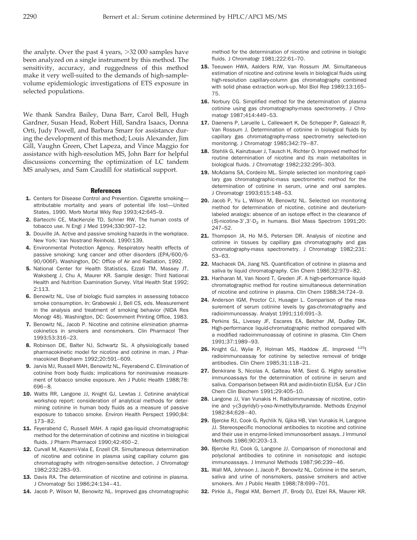the analyte. Over the past 4 years,  $>32 000$  samples have been analyzed on a single instrument by this method. The sensitivity, accuracy, and ruggedness of this method make it very well-suited to the demands of high-samplevolume epidemiologic investigations of ETS exposure in selected populations.

We thank Sandra Bailey, Dana Barr, Carol Bell, Hugh Gardner, Susan Head, Robert Hill, Sandra Isaacs, Donna Orti, Judy Powell, and Barbara Smarr for assistance during the development of this method; Louis Alexander, Jim Gill, Vaughn Green, Chet Lapeza, and Vince Maggio for assistance with high-resolution MS, John Barr for helpful discussions concerning the optimization of LC tandem MS analyses, and Sam Caudill for statistical support.

#### **References**

- 1. Centers for Disease Control and Prevention. Cigarette smokingattributable mortality and years of potential life lost—United States, 1990. Morb Mortal Wkly Rep 1993;42:645–9.
- 2. Bartecchi CE, MacKenzie TD, Schrier RW. The human costs of tobacco use. N Engl J Med 1994;330:907–12.
- 3. Douville JA. Active and passive smoking hazards in the workplace. New York: Van Nostrand Reinhold, 1990:139.
- 4. Environmental Protection Agency. Respiratory health effects of passive smoking: lung cancer and other disorders (EPA/600/6 90/006F). Washington, DC: Office of Air and Radiation, 1992.
- 5. National Center for Health Statistics, Ezzati TM, Massey JT, Waksberg J, Chu A, Maurer KR. Sample design: Third National Health and Nutrition Examination Survey. Vital Health Stat 1992; 2:113.
- 6. Benowitz NL. Use of biologic fluid samples in assessing tobacco smoke consumption. In: Grabowski J, Bell CS, eds. Measurement in the analysis and treatment of smoking behavior (NIDA Res Monogr 48). Washington, DC: Government Printing Office, 1983.
- **7.** Benowitz NL, Jacob P. Nicotine and cotinine elimination pharmacokinetics in smokers and nonsmokers. Clin Pharmacol Ther 1993;53:316–23.
- 8. Robinson DE, Balter NJ, Schwartz SL. A physiologically based pharmacokinetic model for nicotine and cotinine in man. J Pharmacokinet Biopharm 1992;20:591–609.
- 9. Jarvis MJ, Russell MAH, Benowitz NL, Feyerabend C. Elimination of cotinine from body fluids: implications for noninvasive measurement of tobacco smoke exposure. Am J Public Health 1988;78: 696–8.
- 10. Watts RR, Langone JJ, Knight GJ, Lewtas J. Cotinine analytical workshop report: consideration of analytical methods for determining cotinine in human body fluids as a measure of passive exposure to tobacco smoke. Environ Health Perspect 1990;84: 173–82.
- 11. Feyerabend C, Russell MAH. A rapid gas-liquid chromatographic method for the determination of cotinine and nicotine in biological fluids. J Pharm Pharmacol 1990;42:450–2.
- 12. Curvall M, Kazemi-Vala E, Enzell CR. Simultaneous determination of nicotine and cotinine in plasma using capillary column gas chromatography with nitrogen-sensitive detection. J Chromatogr 1982;232:283–93.
- 13. Davis RA. The determination of nicotine and cotinine in plasma. J Chromatogr Sci 1986;24:134–41.
- 14. Jacob P, Wilson M, Benowitz NL. Improved gas chromatographic

method for the determination of nicotine and cotinine in biologic fluids. J Chromatogr 1981;222:61–70.

- 15. Teeuwen HWA, Aalders RJW, Van Rossum JM. Simultaneous estimation of nicotine and cotinine levels in biological fluids using high-resolution capillary-column gas chromatography combined with solid phase extraction work-up. Mol Biol Rep 1989;13:165– 75.
- 16. Norbury CG. Simplified method for the determination of plasma cotinine using gas chromatography-mass spectrometry. J Chromatogr 1987;414:449–53.
- 17. Daenens P, Laruelle L, Callewaert K, De Schepper P, Galeazzi R, Van Rossum J. Determination of cotinine in biological fluids by capillary gas chromatography-mass spectrometry selected-ion monitoring. J Chromatogr 1985;342:79–87.
- 18. Stehlik G, Kainzbauer J, Tausch H, Richter O. Improved method for routine determination of nicotine and its main metabolites in biological fluids. J Chromatogr 1982;232:295–303.
- 19. McAdams SA, Cordeiro ML. Simple selected ion monitoring capillary gas chromatographic-mass spectrometric method for the determination of cotinine in serum, urine and oral samples. J Chromatogr 1993;615:148–53.
- 20. Jacob P, Yu L, Wilson M, Benowitz NL. Selected ion monitoring method for determination of nicotine, cotinine and deuteriumlabeled analogs: absence of an isotope effect in the clearance of (S)-nicotine-3',3'-D<sub>2</sub> in humans. Biol Mass Spectrom 1991;20: 247–52.
- 21. Thompson JA, Ho M-S, Petersen DR. Analysis of nicotine and cotinine in tissues by capillary gas chromatography and gas chromatography-mass spectrometry. J Chromatogr 1982;231: 53–63.
- 22. Machacek DA, Jiang NS. Quantification of cotinine in plasma and saliva by liquid chromatography. Clin Chem 1986;32:979–82.
- 23. Hariharan M, Van Noord T, Greden JF. A high-performance liquidchromatographic method for routine simultaneous determination of nicotine and cotinine in plasma. Clin Chem 1988;34:724–9.
- 24. Anderson IGM, Proctor CJ, Husager L. Comparison of the measurement of serum cotinine levels by gas-chromatography and radioimmunoassay. Analyst 1991;116:691–3.
- 25. Perkins SL, Livesey JF, Escares EA, Belcher JM, Dudley DK. High-performance liquid-chromatographic method compared with a modified radioimmunoassay of cotinine in plasma. Clin Chem 1991;37:1989–93.
- 26. Knight GJ, Wylie P, Holman MS, Haddow JE. Improved <sup>125</sup>l radioimmunoassay for cotinine by selective removal of bridge antibodies. Clin Chem 1985;31:118–21.
- 27. Benkirane S, Nicolas A, Galteau M-M, Siest G. Highly sensitive immunoassays for the determination of cotinine in serum and saliva. Comparison between RIA and avidin-biotin ELISA. Eur J Clin Chem Clin Biochem 1991;29:405–10.
- 28. Langone JJ, Van Vunakis H. Radioimmunassay of nicotine, cotinine and  $\gamma$ -(3-pyridyl)- $\gamma$ -oxo-N-methylbutyramide. Methods Enzymol 1982:84;628–40.
- 29. Bjercke RJ, Cook G, Rychlik N, Gjika HB, Van Vunakis H, Langone JJ. Stereospecific monoclonal antibodies to nicotine and cotinine and their use in enzyme-linked immunosorbent assays. J Immunol Methods 1986;90:203–13.
- 30. Bjercke RJ, Cook G, Langone JJ. Comparison of monoclonal and polyclonal antibodies to cotinine in nonisotopic and isotopic immunoassays. J Immunol Methods 1987;96:239–46.
- 31. Wall MA, Johnson J, Jacob P, Benowitz NL. Cotinine in the serum, saliva and urine of nonsmokers, passive smokers and active smokers. Am J Public Health 1988;78:699–701.
- 32. Pirkle JL, Flegal KM, Bernert JT, Brody DJ, Etzel RA, Maurer KR.